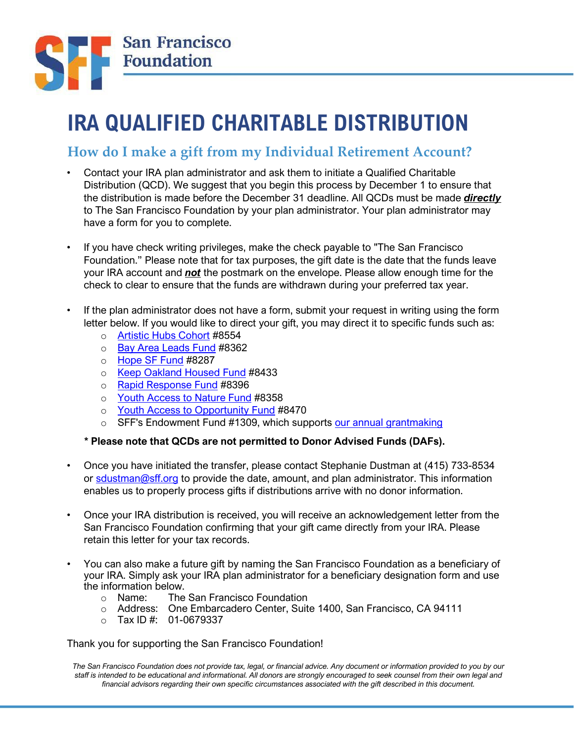

## **IRA QUALIFIED CHARITABLE DISTRIBUTION**

## **How do I make a gift from my Individual Retirement Account?**

- *•* Contact your IRA plan administrator and ask them to initiate a Qualified Charitable Distribution (QCD). We suggest that you begin this process by December 1 to ensure that the distribution is made before the December 31 deadline. All QCDs must be made *directly* to The San Francisco Foundation by your plan administrator. Your plan administrator may have a form for you to complete.
- *•* If you have check writing privileges, make the check payable to "The San Francisco Foundation." Please note that for tax purposes, the gift date is the date that the funds leave your IRA account and *not* the postmark on the envelope. Please allow enough time for the check to clear to ensure that the funds are withdrawn during your preferred tax year.
- *•* If the plan administrator does not have a form, submit your request in writing using the form letter below. If you would like to direct your gift, you may direct it to specific funds such as:
	- o [Artistic Hubs Cohort #8](https://sff.org/what-we-do/art-awards/arts-cohort/)554
	- o [Bay Area Leads Fund](https://sff.org/make-an-impact/give-new/bal-fund/) #8362
	- o [Hope SF Fund](https://sff.org/what-we-do/collaboratives/hope-sf/) [#](https://sff.org/what-we-do/collaboratives/hope-sf/)8287
	- o [Keep Oakland Housed Fund](https://www.keepoaklandhoused.org/) [#](https://www.keepoaklandhoused.org/)8433
	- o [Rapid Response Fund](https://sff.org/what-we-do/funding/rrf/) #8396
	- o [Youth Access to Nature Fund](https://sff.org/make-an-impact/give-new/yan/) [#](https://sff.org/make-an-impact/give-new/yan/)8358
	- o [Youth Access to Opportunity Fund](https://sff.org/make-an-impact/give-new/yao/) [#](https://sff.org/make-an-impact/give-new/yao/)8470
	- o SFF's Endowment Fund #1309, which supports [our annual grantmaking](https://sff.org/what-we-do/grantmaking-to-advance-racial-equity/)

## **\* Please note that QCDs are not permitted to Donor Advised Funds (DAFs).**

- *•* Once you have initiated the transfer, please contact Stephanie Dustman at (415) 733-8534 or sdustman@sff.org to provide the date, amount, and plan administrator. This information enables us to properly process gifts if distributions arrive with no donor information.
- *•* Once your IRA distribution is received, you will receive an acknowledgement letter from the San Francisco Foundation confirming that your gift came directly from your IRA. Please retain this letter for your tax records.
- *•* You can also make a future gift by naming the San Francisco Foundation as a beneficiary of your IRA. Simply ask your IRA plan administrator for a beneficiary designation form and use the information below.
	- o Name: The San Francisco Foundation
	- o Address: One Embarcadero Center, Suite 1400, San Francisco, CA 94111
	- $\circ$  Tax ID #: 01-0679337

Thank you for supporting the San Francisco Foundation!

*The San Francisco Foundation does not provide tax, legal, or financial advice. Any document or information provided to you by our staff is intended to be educational and informational. All donors are strongly encouraged to seek counsel from their own legal and financial advisors regarding their own specific circumstances associated with the gift described in this document.*